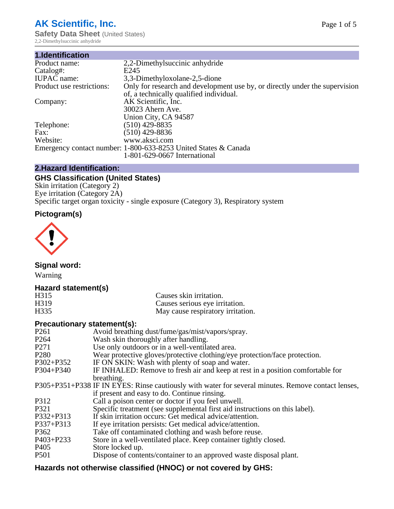# **AK Scientific, Inc.**

**Safety Data Sheet (United States)** 2,2-Dimethylsuccinic anhydride

| 1.Identification          |                                                                             |
|---------------------------|-----------------------------------------------------------------------------|
| Product name:             | 2,2-Dimethyl succinic anhydride                                             |
| Catalog#:                 | E245                                                                        |
| <b>IUPAC</b> name:        | 3,3-Dimethyloxolane-2,5-dione                                               |
| Product use restrictions: | Only for research and development use by, or directly under the supervision |
|                           | of, a technically qualified individual.                                     |
| Company:                  | AK Scientific, Inc.                                                         |
|                           | 30023 Ahern Ave.                                                            |
|                           | Union City, CA 94587                                                        |
| Telephone:                | $(510)$ 429-8835                                                            |
| Fax:                      | $(510)$ 429-8836                                                            |
| Website:                  | www.aksci.com                                                               |
|                           | Emergency contact number: 1-800-633-8253 United States & Canada             |
|                           | 1-801-629-0667 International                                                |

# **2.Hazard Identification:**

# **GHS Classification (United States)**

Skin irritation (Category 2) Eye irritation (Category 2A) Specific target organ toxicity - single exposure (Category 3), Respiratory system

# **Pictogram(s)**



**Signal word:**

Warning

# **Hazard statement(s)**

| H315              | Causes skin irritation.           |
|-------------------|-----------------------------------|
| H <sub>3</sub> 19 | Causes serious eye irritation.    |
| H335              | May cause respiratory irritation. |

## **Precautionary statement(s):**

| P <sub>261</sub> | Avoid breathing dust/fume/gas/mist/vapors/spray.                                                   |
|------------------|----------------------------------------------------------------------------------------------------|
| P <sub>264</sub> | Wash skin thoroughly after handling.                                                               |
| P <sub>271</sub> | Use only outdoors or in a well-ventilated area.                                                    |
| P <sub>280</sub> | Wear protective gloves/protective clothing/eye protection/face protection.                         |
| P302+P352        | IF ON SKIN: Wash with plenty of soap and water.                                                    |
| $P304 + P340$    | IF INHALED: Remove to fresh air and keep at rest in a position comfortable for                     |
|                  | breathing.                                                                                         |
|                  | P305+P351+P338 IF IN EYES: Rinse cautiously with water for several minutes. Remove contact lenses, |
|                  | if present and easy to do. Continue rinsing.                                                       |
| P312             | Call a poison center or doctor if you feel unwell.                                                 |
| P321             | Specific treatment (see supplemental first aid instructions on this label).                        |
| P332+P313        | If skin irritation occurs: Get medical advice/attention.                                           |
| P337+P313        | If eye irritation persists: Get medical advice/attention.                                          |
| P362             | Take off contaminated clothing and wash before reuse.                                              |
| $P403 + P233$    | Store in a well-ventilated place. Keep container tightly closed.                                   |
| P <sub>405</sub> | Store locked up.                                                                                   |
| P <sub>501</sub> | Dispose of contents/container to an approved waste disposal plant.                                 |
|                  |                                                                                                    |

# **Hazards not otherwise classified (HNOC) or not covered by GHS:**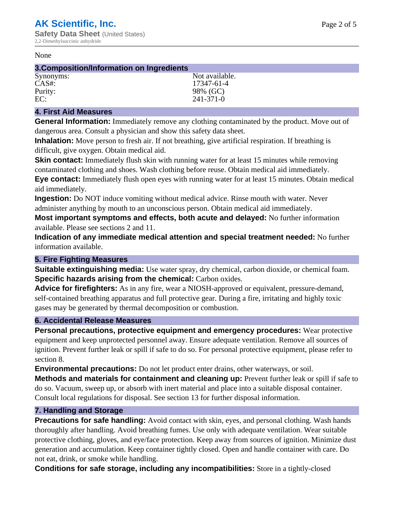#### None

## **3.Composition/Information on Ingredients**

| Synonyms: | Not available. |
|-----------|----------------|
| $CAS#$ :  | 17347-61-4     |
| Purity:   | 98% (GC)       |
| EC:       | 241-371-0      |

## **4. First Aid Measures**

**General Information:** Immediately remove any clothing contaminated by the product. Move out of dangerous area. Consult a physician and show this safety data sheet.

**Inhalation:** Move person to fresh air. If not breathing, give artificial respiration. If breathing is difficult, give oxygen. Obtain medical aid.

**Skin contact:** Immediately flush skin with running water for at least 15 minutes while removing contaminated clothing and shoes. Wash clothing before reuse. Obtain medical aid immediately. **Eye contact:** Immediately flush open eyes with running water for at least 15 minutes. Obtain medical aid immediately.

**Ingestion:** Do NOT induce vomiting without medical advice. Rinse mouth with water. Never administer anything by mouth to an unconscious person. Obtain medical aid immediately.

**Most important symptoms and effects, both acute and delayed:** No further information available. Please see sections 2 and 11.

**Indication of any immediate medical attention and special treatment needed:** No further information available.

## **5. Fire Fighting Measures**

**Suitable extinguishing media:** Use water spray, dry chemical, carbon dioxide, or chemical foam. **Specific hazards arising from the chemical:** Carbon oxides.

**Advice for firefighters:** As in any fire, wear a NIOSH-approved or equivalent, pressure-demand, self-contained breathing apparatus and full protective gear. During a fire, irritating and highly toxic gases may be generated by thermal decomposition or combustion.

# **6. Accidental Release Measures**

**Personal precautions, protective equipment and emergency procedures:** Wear protective equipment and keep unprotected personnel away. Ensure adequate ventilation. Remove all sources of ignition. Prevent further leak or spill if safe to do so. For personal protective equipment, please refer to section 8.

**Environmental precautions:** Do not let product enter drains, other waterways, or soil.

**Methods and materials for containment and cleaning up:** Prevent further leak or spill if safe to do so. Vacuum, sweep up, or absorb with inert material and place into a suitable disposal container. Consult local regulations for disposal. See section 13 for further disposal information.

## **7. Handling and Storage**

**Precautions for safe handling:** Avoid contact with skin, eyes, and personal clothing. Wash hands thoroughly after handling. Avoid breathing fumes. Use only with adequate ventilation. Wear suitable protective clothing, gloves, and eye/face protection. Keep away from sources of ignition. Minimize dust generation and accumulation. Keep container tightly closed. Open and handle container with care. Do not eat, drink, or smoke while handling.

**Conditions for safe storage, including any incompatibilities:** Store in a tightly-closed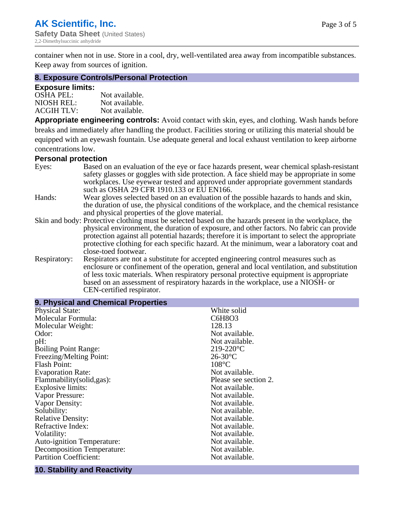container when not in use. Store in a cool, dry, well-ventilated area away from incompatible substances. Keep away from sources of ignition.

### **8. Exposure Controls/Personal Protection**

### **Exposure limits:**

| <b>OSHA PEL:</b>  | Not available. |
|-------------------|----------------|
| NIOSH REL:        | Not available. |
| <b>ACGIH TLV:</b> | Not available. |

**Appropriate engineering controls:** Avoid contact with skin, eyes, and clothing. Wash hands before breaks and immediately after handling the product. Facilities storing or utilizing this material should be equipped with an eyewash fountain. Use adequate general and local exhaust ventilation to keep airborne concentrations low.

#### **Personal protection**

| Eyes:        | Based on an evaluation of the eye or face hazards present, wear chemical splash-resistant<br>safety glasses or goggles with side protection. A face shield may be appropriate in some                                                                                      |  |
|--------------|----------------------------------------------------------------------------------------------------------------------------------------------------------------------------------------------------------------------------------------------------------------------------|--|
|              | workplaces. Use eyewear tested and approved under appropriate government standards<br>such as OSHA 29 CFR 1910.133 or EU EN166.                                                                                                                                            |  |
| Hands:       | Wear gloves selected based on an evaluation of the possible hazards to hands and skin,                                                                                                                                                                                     |  |
|              | the duration of use, the physical conditions of the workplace, and the chemical resistance<br>and physical properties of the glove material.                                                                                                                               |  |
|              | Skin and body: Protective clothing must be selected based on the hazards present in the workplace, the                                                                                                                                                                     |  |
|              | physical environment, the duration of exposure, and other factors. No fabric can provide<br>protection against all potential hazards; therefore it is important to select the appropriate                                                                                  |  |
|              | protective clothing for each specific hazard. At the minimum, wear a laboratory coat and<br>close-toed footwear.                                                                                                                                                           |  |
| Respiratory: | Respirators are not a substitute for accepted engineering control measures such as<br>enclosure or confinement of the operation, general and local ventilation, and substitution<br>of less toxic materials. When respiratory personal protective equipment is appropriate |  |
|              | based on an assessment of respiratory hazards in the workplace, use a NIOSH- or                                                                                                                                                                                            |  |
|              | CEN-certified respirator.                                                                                                                                                                                                                                                  |  |

| 9. Physical and Chemical Properties |                       |
|-------------------------------------|-----------------------|
| <b>Physical State:</b>              | White solid           |
| Molecular Formula:                  | C6H8O3                |
| Molecular Weight:                   | 128.13                |
| Odor:                               | Not available.        |
| pH:                                 | Not available.        |
| <b>Boiling Point Range:</b>         | $219 - 220$ °C        |
| Freezing/Melting Point:             | $26-30$ °C            |
| <b>Flash Point:</b>                 | $108^{\circ}$ C       |
| <b>Evaporation Rate:</b>            | Not available.        |
| Flammability(solid,gas):            | Please see section 2. |
| Explosive limits:                   | Not available.        |
| Vapor Pressure:                     | Not available.        |
| Vapor Density:                      | Not available.        |
| Solubility:                         | Not available.        |
| <b>Relative Density:</b>            | Not available.        |
| Refractive Index:                   | Not available.        |
| Volatility:                         | Not available.        |
| <b>Auto-ignition Temperature:</b>   | Not available.        |
| <b>Decomposition Temperature:</b>   | Not available.        |
| <b>Partition Coefficient:</b>       | Not available.        |
|                                     |                       |

#### **10. Stability and Reactivity**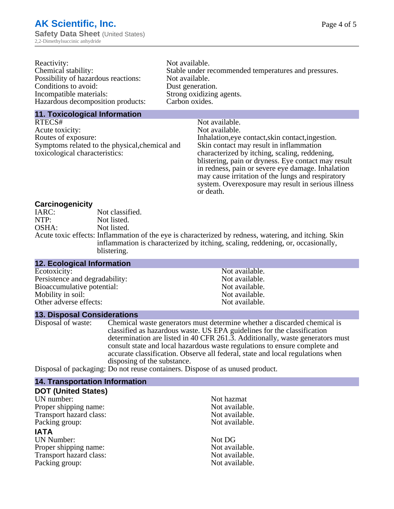| Reactivity:                         | Not available.                                       |
|-------------------------------------|------------------------------------------------------|
| Chemical stability:                 | Stable under recommended temperatures and pressures. |
| Possibility of hazardous reactions: | Not available.                                       |
| Conditions to avoid:                | Dust generation.                                     |
| Incompatible materials:             | Strong oxidizing agents.                             |
| Hazardous decomposition products:   | Carbon oxides.                                       |
|                                     |                                                      |

### **11. Toxicological Information**

| RTECS#                                         | Not available.                                      |
|------------------------------------------------|-----------------------------------------------------|
| Acute toxicity:                                | Not available.                                      |
| Routes of exposure:                            | Inhalation, eye contact, skin contact, ingestion.   |
| Symptoms related to the physical, chemical and | Skin contact may result in inflammation             |
| toxicological characteristics:                 | characterized by itching, scaling, reddening,       |
|                                                | blistering, pain or dryness. Eye contact may result |
|                                                | in redness, pain or severe eye damage. Inhalation   |
|                                                | may cause irritation of the lungs and respiratory   |
|                                                | system. Overexposure may result in serious illness  |

or death.

### **Carcinogenicity**

| IARC: | Not classified.                                                                                       |
|-------|-------------------------------------------------------------------------------------------------------|
| NTP:  | Not listed.                                                                                           |
| OSHA: | Not listed.                                                                                           |
|       | Acute toxic effects: Inflammation of the eye is characterized by redness, watering, and itching. Skin |
|       | inflammation is characterized by itching, scaling, reddening, or, occasionally,                       |
|       | blistering.                                                                                           |

| Not available. |
|----------------|
| Not available. |
| Not available. |
| Not available. |
| Not available. |
|                |

## **13. Disposal Considerations**

Disposal of waste: Chemical waste generators must determine whether a discarded chemical is classified as hazardous waste. US EPA guidelines for the classification determination are listed in 40 CFR 261.3. Additionally, waste generators must consult state and local hazardous waste regulations to ensure complete and accurate classification. Observe all federal, state and local regulations when disposing of the substance.

Disposal of packaging: Do not reuse containers. Dispose of as unused product.

| <b>14. Transportation Information</b> |                |
|---------------------------------------|----------------|
| <b>DOT (United States)</b>            |                |
| UN number:                            | Not hazmat     |
| Proper shipping name:                 | Not available. |
| Transport hazard class:               | Not available. |
| Packing group:                        | Not available. |
| <b>IATA</b>                           |                |
| <b>UN Number:</b>                     | Not DG         |
| Proper shipping name:                 | Not available. |
| Transport hazard class:               | Not available. |
| Packing group:                        | Not available. |